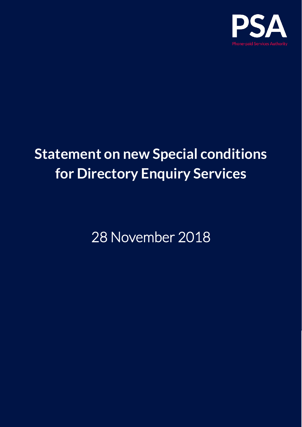

# **Statement on new Special conditions for Directory Enquiry Services**

28 November 2018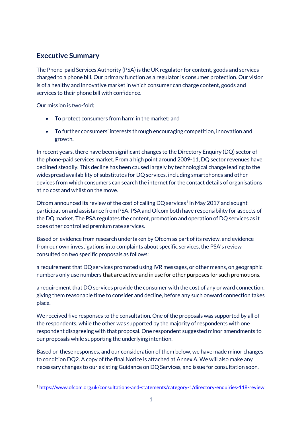## **Executive Summary**

The Phone-paid Services Authority (PSA) is the UK regulator for content, goods and services charged to a phone bill. Our primary function as a regulator is consumer protection. Our vision is of a healthy and innovative market in which consumer can charge content, goods and services to their phone bill with confidence.

Our mission is two-fold:

- To protect consumers from harm in the market; and
- To further consumers' interests through encouraging competition, innovation and growth.

In recent years, there have been significant changes to the Directory Enquiry (DQ) sector of the phone-paid services market. From a high point around 2009-11, DQ sector revenues have declined steadily. This decline has been caused largely by technological change leading to the widespread availability of substitutes for DQ services, including smartphones and other devices from which consumers can search the internet for the contact details of organisations at no cost and whilst on the move.

Ofcom announced its review of the cost of calling DQ services<sup>[1](#page-1-0)</sup> in May 2017 and sought participation and assistance from PSA. PSA and Ofcom both have responsibility for aspects of the DQ market. The PSA regulates the content, promotion and operation of DQ services as it does other controlled premium rate services.

Based on evidence from research undertaken by Ofcom as part of its review, and evidence from our own investigations into complaints about specific services, the PSA's review consulted on two specific proposals as follows:

a requirement that DQ services promoted using IVR messages, or other means, on geographic numbers only use numbers that are active and in use for other purposes for such promotions.

a requirement that DQ services provide the consumer with the cost of any onward connection, giving them reasonable time to consider and decline, before any such onward connection takes place.

We received five responses to the consultation. One of the proposals was supported by all of the respondents, while the other was supported by the majority of respondents with one respondent disagreeing with that proposal. One respondent suggested minor amendments to our proposals while supporting the underlying intention.

Based on these responses, and our consideration of them below, we have made minor changes to condition DQ2. A copy of the final Notice is attached at Annex A. We will also make any necessary changes to our existing Guidance on DQ Services, and issue for consultation soon.

<span id="page-1-0"></span><sup>-</sup><sup>1</sup> <https://www.ofcom.org.uk/consultations-and-statements/category-1/directory-enquiries-118-review>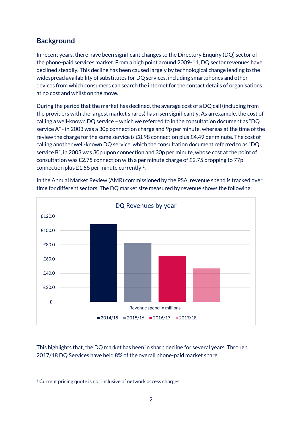# **Background**

In recent years, there have been significant changes to the Directory Enquiry (DQ) sector of the phone-paid services market. From a high point around 2009-11, DQ sector revenues have declined steadily. This decline has been caused largely by technological change leading to the widespread availability of substitutes for DQ services, including smartphones and other devices from which consumers can search the internet for the contact details of organisations at no cost and whilst on the move.

During the period that the market has declined, the average cost of a DQ call (including from the providers with the largest market shares) has risen significantly. As an example, the cost of calling a well-known DQ service – which we referred to in the consultation document as "DQ service A" - in 2003 was a 30p connection charge and 9p per minute, whereas at the time of the review the charge for the same service is £8.98 connection plus £4.49 per minute. The cost of calling another well-known DQ service, which the consultation document referred to as "DQ service B", in 2003 was 30p upon connection and 30p per minute, whose cost at the point of consultation was £2.75 connection with a per minute charge of £2.75 dropping to 77p connection plus £1.55 per minute currently  $2$ .



In the Annual Market Review (AMR) commissioned by the PSA, revenue spend is tracked over time for different sectors. The DQ market size measured by revenue shows the following:

This highlights that, the DQ market has been in sharp decline for several years. Through 2017/18 DQ Services have held 8% of the overall phone-paid market share.

<span id="page-2-0"></span><sup>-</sup> $2$  Current pricing quote is not inclusive of network access charges.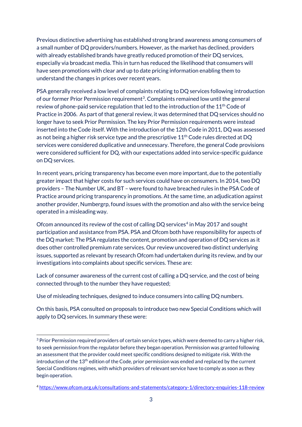Previous distinctive advertising has established strong brand awareness among consumers of a small number of DQ providers/numbers. However, as the market has declined, providers with already established brands have greatly reduced promotion of their DQ services, especially via broadcast media. This in turn has reduced the likelihood that consumers will have seen promotions with clear and up to date pricing information enabling them to understand the changes in prices over recent years.

PSA generally received a low level of complaints relating to DQ services following introduction of our former Prior Permission requirement<sup>3</sup>. Complaints remained low until the general review of phone-paid service regulation that led to the introduction of the 11<sup>th</sup> Code of Practice in 2006. As part of that general review, it was determined that DQ services should no longer have to seek Prior Permission. The key Prior Permission requirements were instead inserted into the Code itself. With the introduction of the 12th Code in 2011, DQ was assessed as not being a higher risk service type and the prescriptive 11<sup>th</sup> Code rules directed at DQ services were considered duplicative and unnecessary. Therefore, the general Code provisions were considered sufficient for DQ, with our expectations added into service-specific guidance on DQ services.

In recent years, pricing transparency has become even more important, due to the potentially greater impact that higher costs for such services could have on consumers. In 2014, two DQ providers – The Number UK, and BT – were found to have breached rules in the PSA Code of Practice around pricing transparency in promotions. At the same time, an adjudication against another provider, Numbergrp, found issues with the promotion and also with the service being operated in a misleading way.

Ofcom announced its review of the cost of calling DQ services<sup>[4](#page-3-1)</sup> in May 2017 and sought participation and assistance from PSA. PSA and Ofcom both have responsibility for aspects of the DQ market: The PSA regulates the content, promotion and operation of DQ services as it does other controlled premium rate services. Our review uncovered two distinct underlying issues, supported as relevant by research Ofcom had undertaken during its review, and by our investigations into complaints about specific services. These are:

Lack of consumer awareness of the current cost of calling a DQ service, and the cost of being connected through to the number they have requested;

Use of misleading techniques, designed to induce consumers into calling DQ numbers.

-

On this basis, PSA consulted on proposals to introduce two new Special Conditions which will apply to DQ services. In summary these were:

<span id="page-3-0"></span><sup>&</sup>lt;sup>3</sup> Prior Permission required providers of certain service types, which were deemed to carry a higher risk, to seek permission from the regulator before they began operation. Permission was granted following an assessment that the provider could meet specific conditions designed to mitigate risk. With the introduction of the 13th edition of the Code, prior permission was ended and replaced by the current Special Conditions regimes, with which providers of relevant service have to comply as soon as they begin operation.

<span id="page-3-1"></span><sup>4</sup> <https://www.ofcom.org.uk/consultations-and-statements/category-1/directory-enquiries-118-review>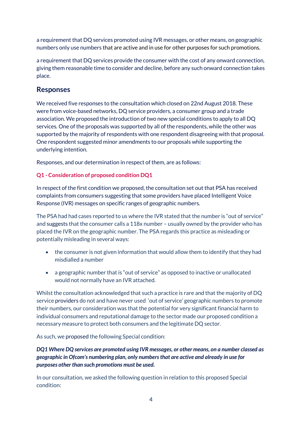a requirement that DQ services promoted using IVR messages, or other means, on geographic numbers only use numbers that are active and in use for other purposes for such promotions.

a requirement that DQ services provide the consumer with the cost of any onward connection, giving them reasonable time to consider and decline, before any such onward connection takes place.

### **Responses**

We received five responses to the consultation which closed on 22nd August 2018. These were from voice-based networks, DQ service providers, a consumer group and a trade association. We proposed the introduction of two new special conditions to apply to all DQ services. One of the proposals was supported by all of the respondents, while the other was supported by the majority of respondents with one respondent disagreeing with that proposal. One respondent suggested minor amendments to our proposals while supporting the underlying intention.

Responses, and our determination in respect of them, are as follows:

#### **Q1 - Consideration of proposed condition DQ1**

In respect of the first condition we proposed, the consultation set out that PSA has received complaints from consumers suggesting that some providers have placed Intelligent Voice Response (IVR) messages on specific ranges of geographic numbers.

The PSA had had cases reported to us where the IVR stated that the number is "out of service" and suggests that the consumer calls a 118x number – usually owned by the provider who has placed the IVR on the geographic number. The PSA regards this practice as misleading or potentially misleading in several ways:

- the consumer is not given information that would allow them to identify that they had misdialled a number
- a geographic number that is "out of service" as opposed to inactive or unallocated would not normally have an IVR attached.

Whilst the consultation acknowledged that such a practice is rare and that the majority of DQ service providers do not and have never used 'out of service' geographic numbers to promote their numbers, our consideration was that the potential for very significant financial harm to individual consumers and reputational damage to the sector made our proposed condition a necessary measure to protect both consumers and the legitimate DQ sector.

As such, we proposed the following Special condition:

*DQ1 Where DQ services are promoted using IVR messages, or other means, on a number classed as geographic in Ofcom's numbering plan, only numbers that are active and already in use for purposes other than such promotions must be used.*

In our consultation, we asked the following question in relation to this proposed Special condition: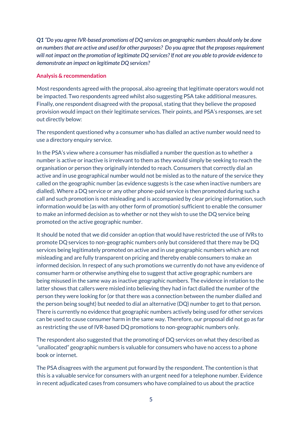*Q1 "Do you agree IVR-based promotions of DQ services on geographic numbers should only be done on numbers that are active and used for other purposes? Do you agree that the proposes requirement will not impact on the promotion of legitimate DQ services? If not are you able to provide evidence to demonstrate an impact on legitimate DQ services?*

#### **Analysis & recommendation**

Most respondents agreed with the proposal, also agreeing that legitimate operators would not be impacted. Two respondents agreed whilst also suggesting PSA take additional measures. Finally, one respondent disagreed with the proposal, stating that they believe the proposed provision would impact on their legitimate services. Their points, and PSA's responses, are set out directly below:

The respondent questioned why a consumer who has dialled an active number would need to use a directory enquiry service.

In the PSA's view where a consumer has misdialled a number the question as to whether a number is active or inactive is irrelevant to them as they would simply be seeking to reach the organisation or person they originally intended to reach. Consumers that correctly dial an active and in use geographical number would not be misled as to the nature of the service they called on the geographic number (as evidence suggests is the case when inactive numbers are dialled). Where a DQ service or any other phone-paid service is then promoted during such a call and such promotion is not misleading and is accompanied by clear pricing information, such information would be (as with any other form of promotion) sufficient to enable the consumer to make an informed decision as to whether or not they wish to use the DQ service being promoted on the active geographic number.

It should be noted that we did consider an option that would have restricted the use of IVRs to promote DQ services to non-geographic numbers only but considered that there may be DQ services being legitimately promoted on active and in use geographic numbers which are not misleading and are fully transparent on pricing and thereby enable consumers to make an informed decision. In respect of any such promotions we currently do not have any evidence of consumer harm or otherwise anything else to suggest that active geographic numbers are being misused in the same way as inactive geographic numbers. The evidence in relation to the latter shows that callers were misled into believing they had in fact dialled the number of the person they were looking for (or that there was a connection between the number dialled and the person being sought) but needed to dial an alternative (DQ) number to get to that person. There is currently no evidence that geographic numbers actively being used for other services can be used to cause consumer harm in the same way. Therefore, our proposal did not go as far as restricting the use of IVR-based DQ promotions to non-geographic numbers only.

The respondent also suggested that the promoting of DQ services on what they described as "unallocated" geographic numbers is valuable for consumers who have no access to a phone book or internet.

The PSA disagrees with the argument put forward by the respondent. The contention is that this is a valuable service for consumers with an urgent need for a telephone number. Evidence in recent adjudicated cases from consumers who have complained to us about the practice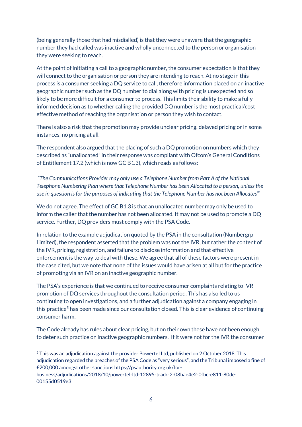(being generally those that had misdialled) is that they were unaware that the geographic number they had called was inactive and wholly unconnected to the person or organisation they were seeking to reach.

At the point of initiating a call to a geographic number, the consumer expectation is that they will connect to the organisation or person they are intending to reach. At no stage in this process is a consumer seeking a DQ service to call, therefore information placed on an inactive geographic number such as the DQ number to dial along with pricing is unexpected and so likely to be more difficult for a consumer to process. This limits their ability to make a fully informed decision as to whether calling the provided DQ number is the most practical/cost effective method of reaching the organisation or person they wish to contact.

There is also a risk that the promotion may provide unclear pricing, delayed pricing or in some instances, no pricing at all.

The respondent also argued that the placing of such a DQ promotion on numbers which they described as "unallocated" in their response was compliant with Ofcom's General Conditions of Entitlement 17.2 (which is now GC B1.3), which reads as follows:

*"The Communications Provider may only use a Telephone Number from Part A of the National Telephone Numbering Plan where that Telephone Number has been Allocated to a person, unless the use in question is for the purposes of indicating that the Telephone Number has not been Allocated"*

We do not agree. The effect of GC B1.3 is that an unallocated number may only be used to inform the caller that the number has not been allocated. It may not be used to promote a DQ service. Further, DQ providers must comply with the PSA Code.

In relation to the example adjudication quoted by the PSA in the consultation (Numbergrp Limited), the respondent asserted that the problem was not the IVR, but rather the content of the IVR, pricing, registration, and failure to disclose information and that effective enforcement is the way to deal with these. We agree that all of these factors were present in the case cited, but we note that none of the issues would have arisen at all but for the practice of promoting via an IVR on an inactive geographic number.

The PSA's experience is that we continued to receive consumer complaints relating to IVR promotion of DQ services throughout the consultation period. This has also led to us continuing to open investigations, and a further adjudication against a company engaging in this practice<sup>[5](#page-6-0)</sup> has been made since our consultation closed. This is clear evidence of continuing consumer harm.

The Code already has rules about clear pricing, but on their own these have not been enough to deter such practice on inactive geographic numbers. If it were not for the IVR the consumer

<span id="page-6-0"></span><sup>-</sup><sup>5</sup> This was an adjudication against the provider Powertel Ltd, published on 2 October 2018. This adjudication regarded the breaches of the PSA Code as "very serious", and the Tribunal imposed a fine of £200,000 amongst other sanctions https://psauthority.org.uk/for-

business/adjudications/2018/10/powertel-ltd-12895-track-2-08bae4e2-0fbc-e811-80de-00155d0519e3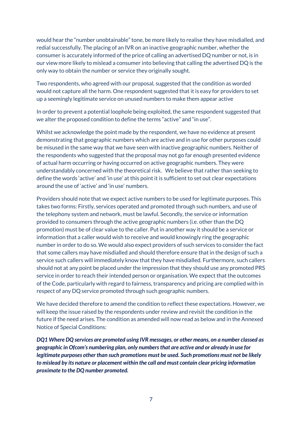would hear the "number unobtainable" tone, be more likely to realise they have misdialled, and redial successfully. The placing of an IVR on an inactive geographic number, whether the consumer is accurately informed of the price of calling an advertised DQ number or not, is in our view more likely to mislead a consumer into believing that calling the advertised DQ is the only way to obtain the number or service they originally sought.

Two respondents, who agreed with our proposal, suggested that the condition as worded would not capture all the harm. One respondent suggested that it is easy for providers to set up a seemingly legitimate service on unused numbers to make them appear active

In order to prevent a potential loophole being exploited, the same respondent suggested that we alter the proposed condition to define the terms "active" and "in use".

Whilst we acknowledge the point made by the respondent, we have no evidence at present demonstrating that geographic numbers which are active and in use for other purposes could be misused in the same way that we have seen with inactive geographic numbers. Neither of the respondents who suggested that the proposal may not go far enough presented evidence of actual harm occurring or having occurred on active geographic numbers. They were understandably concerned with the theoretical risk. We believe that rather than seeking to define the words 'active' and 'in use' at this point it is sufficient to set out clear expectations around the use of 'active' and 'in use' numbers.

Providers should note that we expect active numbers to be used for legitimate purposes. This takes two forms: Firstly, services operated and promoted through such numbers, and use of the telephony system and network, must be lawful. Secondly, the service or information provided to consumers through the active geographic numbers (i.e. other than the DQ promotion) must be of clear value to the caller. Put in another way it should be a service or information that a caller would wish to receive and would knowingly ring the geographic number in order to do so. We would also expect providers of such services to consider the fact that some callers may have misdialled and should therefore ensure that in the design of such a service such callers will immediately know that they have misdialled. Furthermore, such callers should not at any point be placed under the impression that they should use any promoted PRS service in order to reach their intended person or organisation. We expect that the outcomes of the Code, particularly with regard to fairness, transparency and pricing are complied with in respect of any DQ service promoted through such geographic numbers.

We have decided therefore to amend the condition to reflect these expectations. However, we will keep the issue raised by the respondents under review and revisit the condition in the future if the need arises. The condition as amended will now read as below and in the Annexed Notice of Special Conditions:

*DQ1 Where DQ services are promoted using IVR messages, or other means, on a number classed as geographic in Ofcom's numbering plan, only numbers that are active and or already in use for legitimate purposes other than such promotions must be used. Such promotions must not be likely to mislead by its nature or placement within the call and must contain clear pricing information proximate to the DQ number promoted.*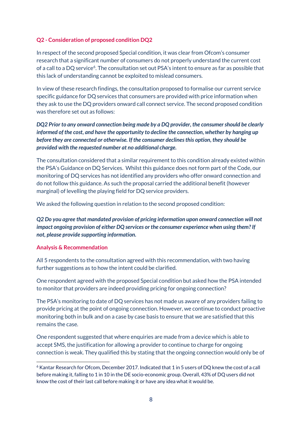#### **Q2 - Consideration of proposed condition DQ2**

In respect of the second proposed Special condition, it was clear from Ofcom's consumer research that a significant number of consumers do not properly understand the current cost of a call to a DQ service<sup>[6](#page-8-0)</sup>. The consultation set out PSA's intent to ensure as far as possible that this lack of understanding cannot be exploited to mislead consumers.

In view of these research findings, the consultation proposed to formalise our current service specific guidance for DQ services that consumers are provided with price information when they ask to use the DQ providers onward call connect service. The second proposed condition was therefore set out as follows:

#### *DQ2 Prior to any onward connection being made by a DQ provider, the consumer should be clearly informed of the cost, and have the opportunity to decline the connection, whether by hanging up before they are connected or otherwise. If the consumer declines this option, they should be provided with the requested number at no additional charge.*

The consultation considered that a similar requirement to this condition already existed within the PSA's Guidance on DQ Services. Whilst this guidance does not form part of the Code, our monitoring of DQ services has not identified any providers who offer onward connection and do not follow this guidance. As such the proposal carried the additional benefit (however marginal) of levelling the playing field for DQ service providers.

We asked the following question in relation to the second proposed condition:

*Q2 Do you agree that mandated provision of pricing information upon onward connection will not impact ongoing provision of either DQ services or the consumer experience when using them? If not, please provide supporting information.*

#### **Analysis & Recommendation**

All 5 respondents to the consultation agreed with this recommendation, with two having further suggestions as to how the intent could be clarified.

One respondent agreed with the proposed Special condition but asked how the PSA intended to monitor that providers are indeed providing pricing for ongoing connection?

The PSA's monitoring to date of DQ services has not made us aware of any providers failing to provide pricing at the point of ongoing connection. However, we continue to conduct proactive monitoring both in bulk and on a case by case basis to ensure that we are satisfied that this remains the case.

One respondent suggested that where enquiries are made from a device which is able to accept SMS, the justification for allowing a provider to continue to charge for ongoing connection is weak. They qualified this by stating that the ongoing connection would only be of

<span id="page-8-0"></span><sup>-</sup><sup>6</sup> Kantar Research for Ofcom, December 2017. Indicated that 1 in 5 users of DQ knew the cost of a call before making it, falling to 1 in 10 in the DE socio-economic group. Overall, 43% of DQ users did not know the cost of their last call before making it or have any idea what it would be.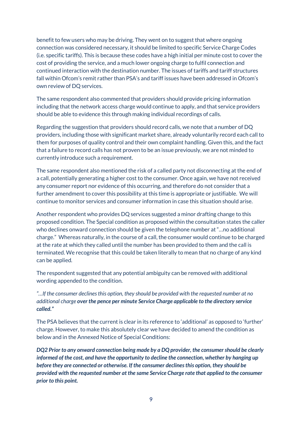benefit to few users who may be driving. They went on to suggest that where ongoing connection was considered necessary, it should be limited to specific Service Charge Codes (i.e. specific tariffs). This is because these codes have a high initial per minute cost to cover the cost of providing the service, and a much lower ongoing charge to fulfil connection and continued interaction with the destination number. The issues of tariffs and tariff structures fall within Ofcom's remit rather than PSA's and tariff issues have been addressed in Ofcom's own review of DQ services.

The same respondent also commented that providers should provide pricing information including that the network access charge would continue to apply, and that service providers should be able to evidence this through making individual recordings of calls.

Regarding the suggestion that providers should record calls, we note that a number of DQ providers, including those with significant market share, already voluntarily record each call to them for purposes of quality control and their own complaint handling. Given this, and the fact that a failure to record calls has not proven to be an issue previously, we are not minded to currently introduce such a requirement.

The same respondent also mentioned the risk of a called party not disconnecting at the end of a call, potentially generating a higher cost to the consumer. Once again, we have not received any consumer report nor evidence of this occurring, and therefore do not consider that a further amendment to cover this possibility at this time is appropriate or justifiable. We will continue to monitor services and consumer information in case this situation should arise.

Another respondent who provides DQ services suggested a minor drafting change to this proposed condition. The Special condition as proposed within the consultation states the caller who declines onward connection should be given the telephone number at "…no additional charge." Whereas naturally, in the course of a call, the consumer would continue to be charged at the rate at which they called until the number has been provided to them and the call is terminated. We recognise that this could be taken literally to mean that no charge of any kind can be applied.

The respondent suggested that any potential ambiguity can be removed with additional wording appended to the condition.

*"…If the consumer declines this option, they should be provided with the requested number at no additional charge over the pence per minute Service Charge applicable to the directory service called."*

The PSA believes that the current is clear in its reference to 'additional' as opposed to 'further' charge. However, to make this absolutely clear we have decided to amend the condition as below and in the Annexed Notice of Special Conditions:

*DQ2 Prior to any onward connection being made by a DQ provider, the consumer should be clearly informed of the cost, and have the opportunity to decline the connection, whether by hanging up before they are connected or otherwise. If the consumer declines this option, they should be provided with the requested number at the same Service Charge rate that applied to the consumer prior to this point.*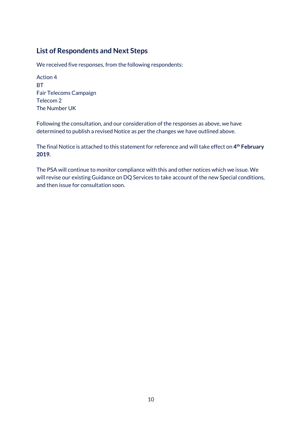# **List of Respondents and Next Steps**

We received five responses, from the following respondents:

Action 4 BT Fair Telecoms Campaign Telecom 2 The Number UK

Following the consultation, and our consideration of the responses as above, we have determined to publish a revised Notice as per the changes we have outlined above.

The final Notice is attached to this statement for reference and will take effect on **4th February 2019.**

The PSA will continue to monitor compliance with this and other notices which we issue. We will revise our existing Guidance on DQ Services to take account of the new Special conditions, and then issue for consultation soon.